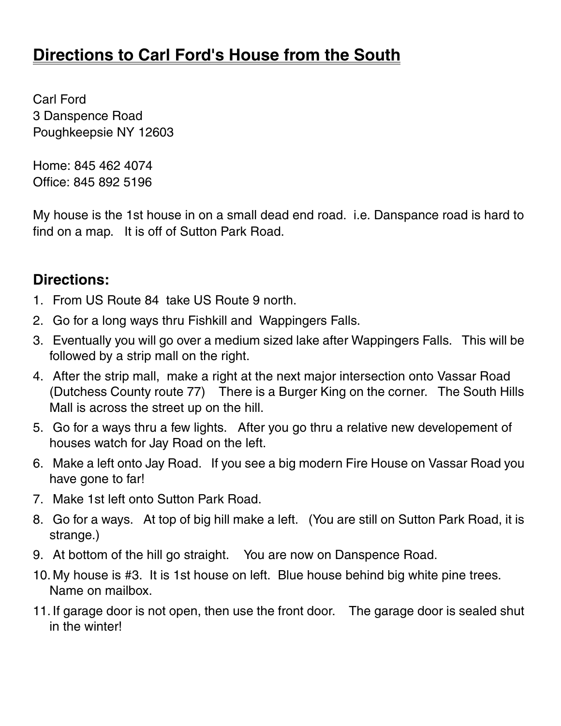## **Directions to Carl Ford's House from the South**

Carl Ford 3 Danspence Road Poughkeepsie NY 12603

Home: 845 462 4074 Office: 845 892 5196

My house is the 1st house in on a small dead end road. i.e. Danspance road is hard to find on a map. It is off of Sutton Park Road.

## **Directions:**

- 1. From US Route 84 take US Route 9 north.
- 2. Go for a long ways thru Fishkill and Wappingers Falls.
- 3. Eventually you will go over a medium sized lake after Wappingers Falls. This will be followed by a strip mall on the right.
- 4. After the strip mall, make a right at the next major intersection onto Vassar Road (Dutchess County route 77) There is a Burger King on the corner. The South Hills Mall is across the street up on the hill.
- 5. Go for a ways thru a few lights. After you go thru a relative new developement of houses watch for Jay Road on the left.
- 6. Make a left onto Jay Road. If you see a big modern Fire House on Vassar Road you have gone to far!
- 7. Make 1st left onto Sutton Park Road.
- 8. Go for a ways. At top of big hill make a left. (You are still on Sutton Park Road, it is strange.)
- 9. At bottom of the hill go straight. You are now on Danspence Road.
- 10. My house is #3. It is 1st house on left. Blue house behind big white pine trees. Name on mailbox.
- 11. If garage door is not open, then use the front door. The garage door is sealed shut in the winter!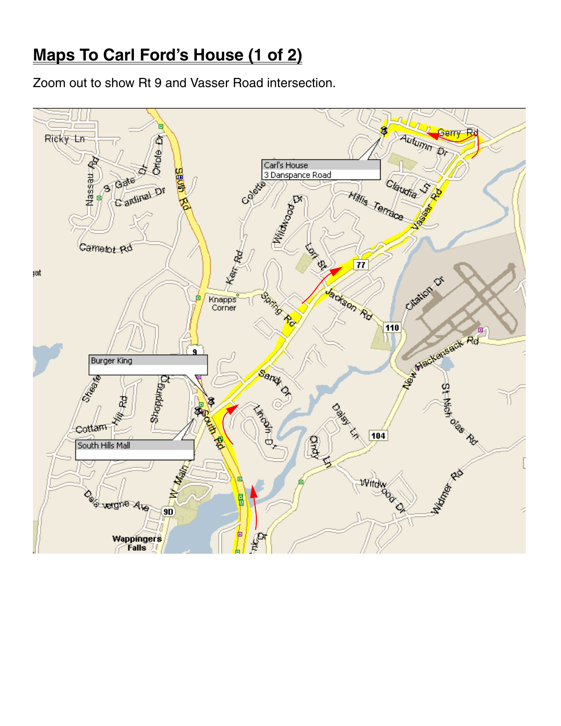## **Maps To Carl Ford's House (1 of 2)**

Zoom out to show Rt 9 and Vasser Road intersection.